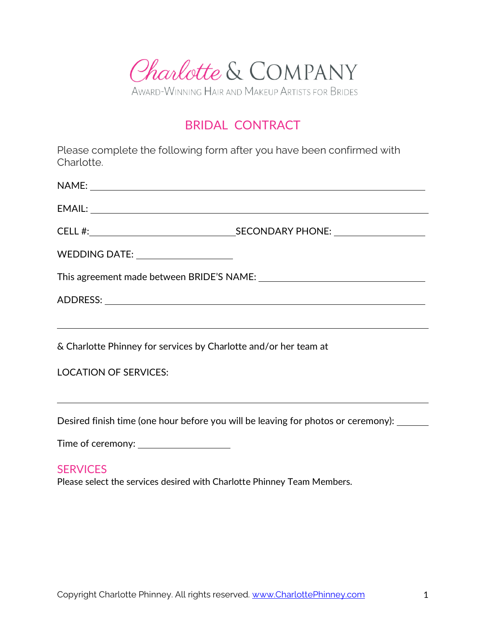

# BRIDAL CONTRACT

Please complete the following form after you have been confirmed with Charlotte.

| WEDDING DATE: _____________________                              |                                                                                   |
|------------------------------------------------------------------|-----------------------------------------------------------------------------------|
|                                                                  |                                                                                   |
|                                                                  |                                                                                   |
|                                                                  |                                                                                   |
| & Charlotte Phinney for services by Charlotte and/or her team at |                                                                                   |
| <b>LOCATION OF SERVICES:</b>                                     |                                                                                   |
|                                                                  |                                                                                   |
|                                                                  | Desired finish time (one hour before you will be leaving for photos or ceremony): |
| Time of ceremony: ________________________                       |                                                                                   |

### **SERVICES**

Please select the services desired with Charlotte Phinney Team Members.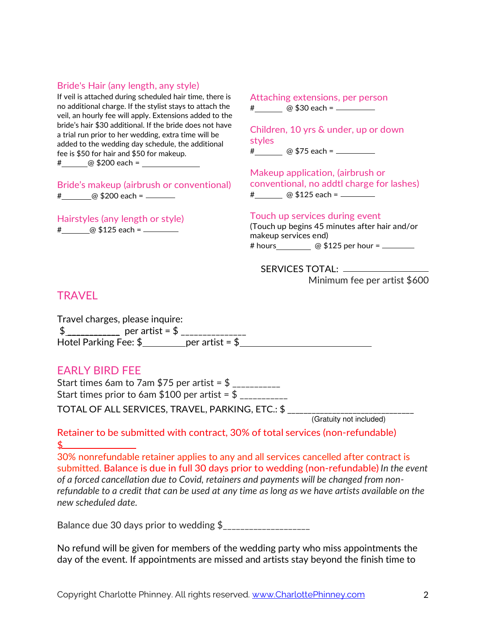#### Bride's Hair (any length, any style)

If veil is attached during scheduled hair time, there is no additional charge. If the stylist stays to attach the veil, an hourly fee will apply. Extensions added to the bride's hair \$30 additional. If the bride does not have a trial run prior to her wedding, extra time will be added to the wedding day schedule, the additional fee is \$50 for hair and \$50 for makeup. # @ \$200 each =

Bride's makeup (airbrush or conventional) # @ \$200 each =

Hairstyles (any length or style) # @ \$125 each =

Attaching extensions, per person # @ \$30 each = \_ \_ \_ \_ \_ \_

Children, 10 yrs & under, up or down styles

# @ \$75 each =

Makeup application, (airbrush or conventional, no addtl charge for lashes) # @ \$125 each = \_\_\_\_\_\_

Touch up services during event (Touch up begins 45 minutes after hair and/or makeup services end)

# hours @ \$125 per hour =

SERVICES TOTAL: Minimum fee per artist \$600

### **TRAVFL**

Travel charges, please inquire:  $\text{\$}$  \_\_\_\_\_\_\_\_\_\_\_\_\_\_\_\_\_ per artist =  $\text{\$}$  \_\_\_\_\_\_\_\_\_\_\_\_\_\_\_\_ Hotel Parking Fee:  $\frac{2}{3}$  per artist =  $\frac{2}{3}$ 

#### EARLY BIRD FEE

Start times 6am to 7am \$75 per artist =  $\frac{6}{1}$ Start times prior to 6am \$100 per artist =  $\frac{6}{100}$ TOTAL OF ALL SERVICES, TRAVEL, PARKING, ETC.: \$

(Gratuity not included)

Retainer to be submitted with contract, 30% of total services (non-refundable)  $\frac{1}{2}$ 

30% nonrefundable retainer applies to any and all services cancelled after contract is submitted. Balance is due in full 30 days prior to wedding (non-refundable) *In the event of a forced cancellation due to Covid, retainers and payments will be changed from nonrefundable to a credit that can be used at any time as long as we have artists available on the new scheduled date.* 

Balance due 30 days prior to wedding \$\_\_\_\_\_\_\_\_\_\_\_\_\_\_\_\_\_\_\_\_

No refund will be given for members of the wedding party who miss appointments the day of the event. If appointments are missed and artists stay beyond the finish time to